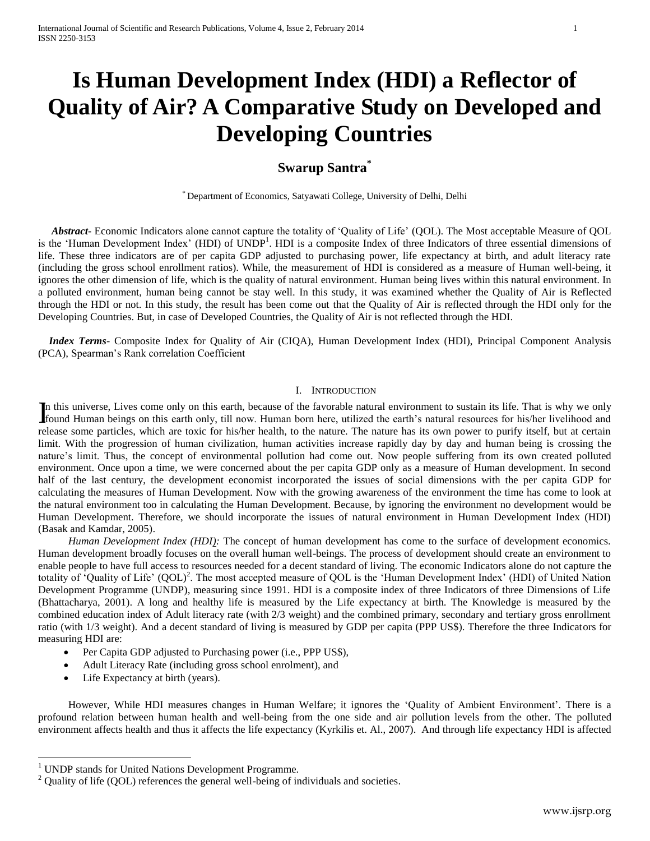# **Is Human Development Index (HDI) a Reflector of Quality of Air? A Comparative Study on Developed and Developing Countries**

# **Swarup Santra\***

\* Department of Economics, Satyawati College, University of Delhi, Delhi

 *Abstract***-** Economic Indicators alone cannot capture the totality of 'Quality of Life' (QOL). The Most acceptable Measure of QOL is the 'Human Development Index' (HDI) of UNDP<sup>1</sup>. HDI is a composite Index of three Indicators of three essential dimensions of life. These three indicators are of per capita GDP adjusted to purchasing power, life expectancy at birth, and adult literacy rate (including the gross school enrollment ratios). While, the measurement of HDI is considered as a measure of Human well-being, it ignores the other dimension of life, which is the quality of natural environment. Human being lives within this natural environment. In a polluted environment, human being cannot be stay well. In this study, it was examined whether the Quality of Air is Reflected through the HDI or not. In this study, the result has been come out that the Quality of Air is reflected through the HDI only for the Developing Countries. But, in case of Developed Countries, the Quality of Air is not reflected through the HDI.

 *Index Terms*- Composite Index for Quality of Air (CIQA), Human Development Index (HDI), Principal Component Analysis (PCA), Spearman's Rank correlation Coefficient

# I. INTRODUCTION

n this universe, Lives come only on this earth, because of the favorable natural environment to sustain its life. That is why we only In this universe, Lives come only on this earth, because of the favorable natural environment to sustain its life. That is why we only found Human beings on this earth only, till now. Human born here, utilized the earth's release some particles, which are toxic for his/her health, to the nature. The nature has its own power to purify itself, but at certain limit. With the progression of human civilization, human activities increase rapidly day by day and human being is crossing the nature's limit. Thus, the concept of environmental pollution had come out. Now people suffering from its own created polluted environment. Once upon a time, we were concerned about the per capita GDP only as a measure of Human development. In second half of the last century, the development economist incorporated the issues of social dimensions with the per capita GDP for calculating the measures of Human Development. Now with the growing awareness of the environment the time has come to look at the natural environment too in calculating the Human Development. Because, by ignoring the environment no development would be Human Development. Therefore, we should incorporate the issues of natural environment in Human Development Index (HDI) (Basak and Kamdar, 2005).

*Human Development Index (HDI):* The concept of human development has come to the surface of development economics. Human development broadly focuses on the overall human well-beings. The process of development should create an environment to enable people to have full access to resources needed for a decent standard of living. The economic Indicators alone do not capture the totality of 'Quality of Life' (QOL)<sup>2</sup>. The most accepted measure of QOL is the 'Human Development Index' (HDI) of United Nation Development Programme (UNDP), measuring since 1991. HDI is a composite index of three Indicators of three Dimensions of Life (Bhattacharya, 2001). A long and healthy life is measured by the Life expectancy at birth. The Knowledge is measured by the combined education index of Adult literacy rate (with 2/3 weight) and the combined primary, secondary and tertiary gross enrollment ratio (with 1/3 weight). And a decent standard of living is measured by GDP per capita (PPP US\$). Therefore the three Indicators for measuring HDI are:

- Per Capita GDP adjusted to Purchasing power (i.e., PPP US\$),
- Adult Literacy Rate (including gross school enrolment), and
- Life Expectancy at birth (years).

 $\overline{a}$ 

However, While HDI measures changes in Human Welfare; it ignores the 'Quality of Ambient Environment'. There is a profound relation between human health and well-being from the one side and air pollution levels from the other. The polluted environment affects health and thus it affects the life expectancy (Kyrkilis et. Al., 2007). And through life expectancy HDI is affected

<sup>&</sup>lt;sup>1</sup> UNDP stands for United Nations Development Programme.

Quality of life (QOL) references the general well-being of individuals and societies.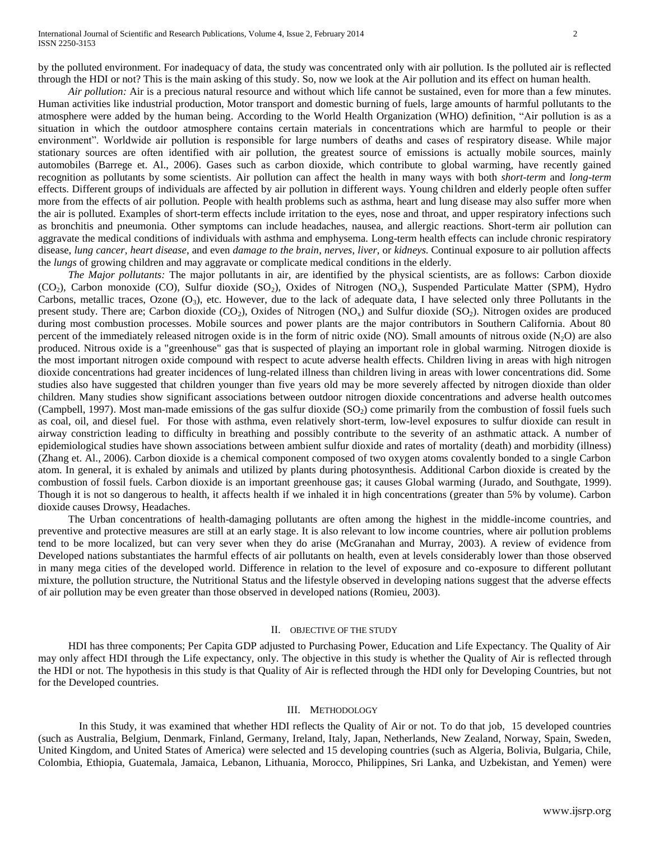by the polluted environment. For inadequacy of data, the study was concentrated only with air pollution. Is the polluted air is reflected through the HDI or not? This is the main asking of this study. So, now we look at the Air pollution and its effect on human health.

*Air pollution:* Air is a precious natural resource and without which life cannot be sustained, even for more than a few minutes. Human activities like industrial production, Motor transport and domestic burning of fuels, large amounts of harmful pollutants to the atmosphere were added by the human being. According to the World Health Organization (WHO) definition, "Air pollution is as a situation in which the outdoor atmosphere contains certain materials in concentrations which are harmful to people or their environment". Worldwide air pollution is responsible for large numbers of deaths and cases of respiratory disease. While major stationary sources are often identified with air pollution, the greatest source of emissions is actually mobile sources, mainly automobiles (Barrege et. Al., 2006). Gases such as carbon dioxide, which contribute to global warming, have recently gained recognition as pollutants by some scientists. Air pollution can affect the health in many ways with both *short-term* and *long-term*  effects. Different groups of individuals are affected by air pollution in different ways. Young children and elderly people often suffer more from the effects of air pollution. People with health problems such as asthma, heart and lung disease may also suffer more when the air is polluted. Examples of short-term effects include irritation to the eyes, nose and throat, and upper respiratory infections such as bronchitis and pneumonia. Other symptoms can include headaches, nausea, and allergic reactions. Short-term air pollution can aggravate the medical conditions of individuals with asthma and emphysema. Long-term health effects can include chronic respiratory disease, *lung cancer*, *heart disease*, and even *damage to the brain*, *nerves*, *liver*, or *kidneys*. Continual exposure to air pollution affects the *lungs* of growing children and may aggravate or complicate medical conditions in the elderly.

*The Major pollutants:* The major pollutants in air, are identified by the physical scientists, are as follows: Carbon dioxide  $(CO_2)$ , Carbon monoxide  $(CO)$ , Sulfur dioxide  $(SO_2)$ , Oxides of Nitrogen  $(NO_x)$ , Suspended Particulate Matter (SPM), Hydro Carbons, metallic traces, Ozone  $(O_3)$ , etc. However, due to the lack of adequate data, I have selected only three Pollutants in the present study. There are; Carbon dioxide  $(CO_2)$ , Oxides of Nitrogen  $(NO_x)$  and Sulfur dioxide  $(SO_2)$ . Nitrogen oxides are produced during most combustion processes. Mobile sources and power plants are the major contributors in Southern California. About 80 percent of the immediately released nitrogen oxide is in the form of nitric oxide (NO). Small amounts of nitrous oxide (N<sub>2</sub>O) are also produced. Nitrous oxide is a "greenhouse" gas that is suspected of playing an important role in global warming. Nitrogen dioxide is the most important nitrogen oxide compound with respect to acute adverse health effects. Children living in areas with high nitrogen dioxide concentrations had greater incidences of lung-related illness than children living in areas with lower concentrations did. Some studies also have suggested that children younger than five years old may be more severely affected by nitrogen dioxide than older children. Many studies show significant associations between outdoor nitrogen dioxide concentrations and adverse health outcomes (Campbell, 1997). Most man-made emissions of the gas sulfur dioxide  $(SO<sub>2</sub>)$  come primarily from the combustion of fossil fuels such as coal, oil, and diesel fuel. For those with asthma, even relatively short-term, low-level exposures to sulfur dioxide can result in airway constriction leading to difficulty in breathing and possibly contribute to the severity of an asthmatic attack. A number of epidemiological studies have shown associations between ambient sulfur dioxide and rates of mortality (death) and morbidity (illness) (Zhang et. Al., 2006). Carbon dioxide is a chemical component composed of two oxygen atoms covalently bonded to a single Carbon atom. In general, it is exhaled by animals and utilized by plants during photosynthesis. Additional Carbon dioxide is created by the combustion of fossil fuels. Carbon dioxide is an important greenhouse gas; it causes Global warming (Jurado, and Southgate, 1999). Though it is not so dangerous to health, it affects health if we inhaled it in high concentrations (greater than 5% by volume). Carbon dioxide causes Drowsy, Headaches.

The Urban concentrations of health-damaging pollutants are often among the highest in the middle-income countries, and preventive and protective measures are still at an early stage. It is also relevant to low income countries, where air pollution problems tend to be more localized, but can very sever when they do arise (McGranahan and Murray, 2003). A review of evidence from Developed nations substantiates the harmful effects of air pollutants on health, even at levels considerably lower than those observed in many mega cities of the developed world. Difference in relation to the level of exposure and co-exposure to different pollutant mixture, the pollution structure, the Nutritional Status and the lifestyle observed in developing nations suggest that the adverse effects of air pollution may be even greater than those observed in developed nations (Romieu, 2003).

#### II. OBJECTIVE OF THE STUDY

HDI has three components; Per Capita GDP adjusted to Purchasing Power, Education and Life Expectancy. The Quality of Air may only affect HDI through the Life expectancy, only. The objective in this study is whether the Quality of Air is reflected through the HDI or not. The hypothesis in this study is that Quality of Air is reflected through the HDI only for Developing Countries, but not for the Developed countries.

#### III. METHODOLOGY

 In this Study, it was examined that whether HDI reflects the Quality of Air or not. To do that job, 15 developed countries (such as Australia, Belgium, Denmark, Finland, Germany, Ireland, Italy, Japan, Netherlands, New Zealand, Norway, Spain, Sweden, United Kingdom, and United States of America) were selected and 15 developing countries (such as Algeria, Bolivia, Bulgaria, Chile, Colombia, Ethiopia, Guatemala, Jamaica, Lebanon, Lithuania, Morocco, Philippines, Sri Lanka, and Uzbekistan, and Yemen) were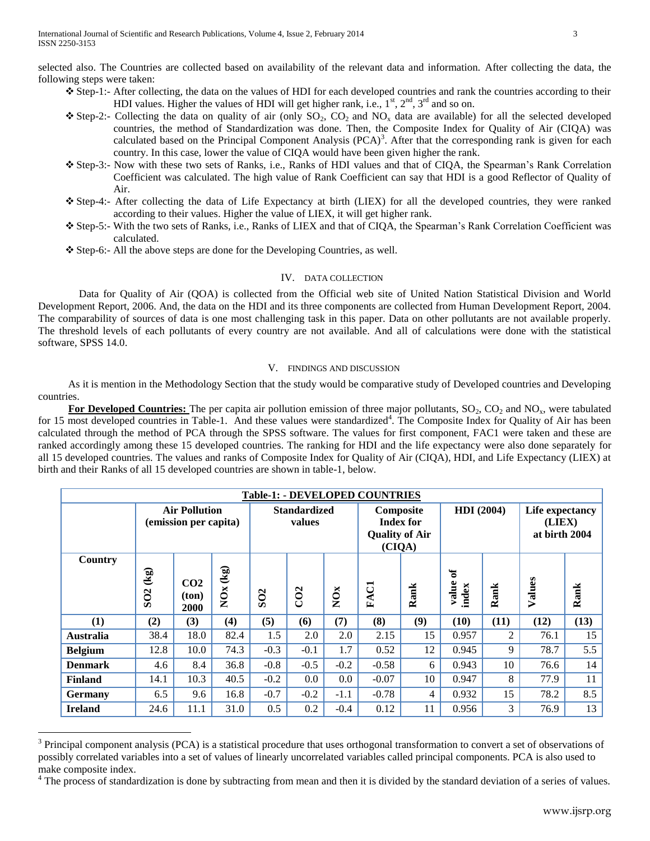selected also. The Countries are collected based on availability of the relevant data and information. After collecting the data, the following steps were taken:

- Step-1:- After collecting, the data on the values of HDI for each developed countries and rank the countries according to their HDI values. Higher the values of HDI will get higher rank, i.e.,  $1^{st}$ ,  $2^{nd}$ ,  $3^{rd}$  and so on.
- $\div$  Step-2:- Collecting the data on quality of air (only SO<sub>2</sub>, CO<sub>2</sub> and NO<sub>x</sub> data are available) for all the selected developed countries, the method of Standardization was done. Then, the Composite Index for Quality of Air (CIQA) was calculated based on the Principal Component Analysis  $(PCA)^3$ . After that the corresponding rank is given for each country. In this case, lower the value of CIQA would have been given higher the rank.
- Step-3:- Now with these two sets of Ranks, i.e., Ranks of HDI values and that of CIQA, the Spearman's Rank Correlation Coefficient was calculated. The high value of Rank Coefficient can say that HDI is a good Reflector of Quality of Air.
- Step-4:- After collecting the data of Life Expectancy at birth (LIEX) for all the developed countries, they were ranked according to their values. Higher the value of LIEX, it will get higher rank.
- Step-5:- With the two sets of Ranks, i.e., Ranks of LIEX and that of CIQA, the Spearman's Rank Correlation Coefficient was calculated.
- Step-6:- All the above steps are done for the Developing Countries, as well.

## IV. DATA COLLECTION

 Data for Quality of Air (QOA) is collected from the Official web site of United Nation Statistical Division and World Development Report, 2006. And, the data on the HDI and its three components are collected from Human Development Report, 2004. The comparability of sources of data is one most challenging task in this paper. Data on other pollutants are not available properly. The threshold levels of each pollutants of every country are not available. And all of calculations were done with the statistical software, SPSS 14.0.

## V. FINDINGS AND DISCUSSION

As it is mention in the Methodology Section that the study would be comparative study of Developed countries and Developing countries.

**For Developed Countries:** The per capita air pollution emission of three major pollutants, SO<sub>2</sub>, CO<sub>2</sub> and NO<sub>x</sub>, were tabulated for 15 most developed countries in Table-1. And these values were standardized<sup>4</sup>. The Composite Index for Quality of Air has been calculated through the method of PCA through the SPSS software. The values for first component, FAC1 were taken and these are ranked accordingly among these 15 developed countries. The ranking for HDI and the life expectancy were also done separately for all 15 developed countries. The values and ranks of Composite Index for Quality of Air (CIQA), HDI, and Life Expectancy (LIEX) at birth and their Ranks of all 15 developed countries are shown in table-1, below.

| <b>Table-1: - DEVELOPED COUNTRIES</b> |                                               |                                               |                                    |                               |                 |                                                                  |             |                   |                     |                                            |        |      |
|---------------------------------------|-----------------------------------------------|-----------------------------------------------|------------------------------------|-------------------------------|-----------------|------------------------------------------------------------------|-------------|-------------------|---------------------|--------------------------------------------|--------|------|
|                                       |                                               | <b>Air Pollution</b><br>(emission per capita) |                                    | <b>Standardized</b><br>values |                 | Composite<br><b>Index for</b><br><b>Quality of Air</b><br>(CIQA) |             | <b>HDI</b> (2004) |                     | Life expectancy<br>(LIEX)<br>at birth 2004 |        |      |
| Country                               | $\left(\frac{1}{2}\right)$<br>SO <sub>2</sub> | CO <sub>2</sub><br>ton)<br>2000               | $\left( \mathbf{kg}\right)$<br>NOx | SO <sub>2</sub>               | CO <sub>2</sub> | NOx                                                              | <b>FAC1</b> | Rank              | ð<br>value<br>index | Rank                                       | Values | Rank |
| (1)                                   | (2)                                           | (3)                                           | (4)                                | (5)                           | (6)             | (7)                                                              | (8)         | (9)               | (10)                | (11)                                       | (12)   | (13) |
| <b>Australia</b>                      | 38.4                                          | 18.0                                          | 82.4                               | 1.5                           | 2.0             | 2.0                                                              | 2.15        | 15                | 0.957               | $\overline{c}$                             | 76.1   | 15   |
| <b>Belgium</b>                        | 12.8                                          | 10.0                                          | 74.3                               | $-0.3$                        | $-0.1$          | 1.7                                                              | 0.52        | 12                | 0.945               | 9                                          | 78.7   | 5.5  |
| <b>Denmark</b>                        | 4.6                                           | 8.4                                           | 36.8                               | $-0.8$                        | $-0.5$          | $-0.2$                                                           | $-0.58$     | 6                 | 0.943               | 10                                         | 76.6   | 14   |
| <b>Finland</b>                        | 14.1                                          | 10.3                                          | 40.5                               | $-0.2$                        | 0.0             | 0.0                                                              | $-0.07$     | 10                | 0.947               | 8                                          | 77.9   | 11   |
| <b>Germany</b>                        | 6.5                                           | 9.6                                           | 16.8                               | $-0.7$                        | $-0.2$          | $-1.1$                                                           | $-0.78$     | 4                 | 0.932               | 15                                         | 78.2   | 8.5  |
| <b>Ireland</b>                        | 24.6                                          | 11.1                                          | 31.0                               | 0.5                           | 0.2             | $-0.4$                                                           | 0.12        | 11                | 0.956               | 3                                          | 76.9   | 13   |

 $3$  Principal component analysis (PCA) is a statistical procedure that uses [orthogonal transformation](http://en.wikipedia.org/wiki/Orthogonal_matrix) to convert a set of observations of possibly correlated variables into a set of values of [linearly uncorrelated](http://en.wikipedia.org/wiki/Correlation_and_dependence) variables called principal components. PCA is also used to make composite index.

 $\overline{a}$ 

The process of standardization is done by subtracting from mean and then it is divided by the standard deviation of a series of values.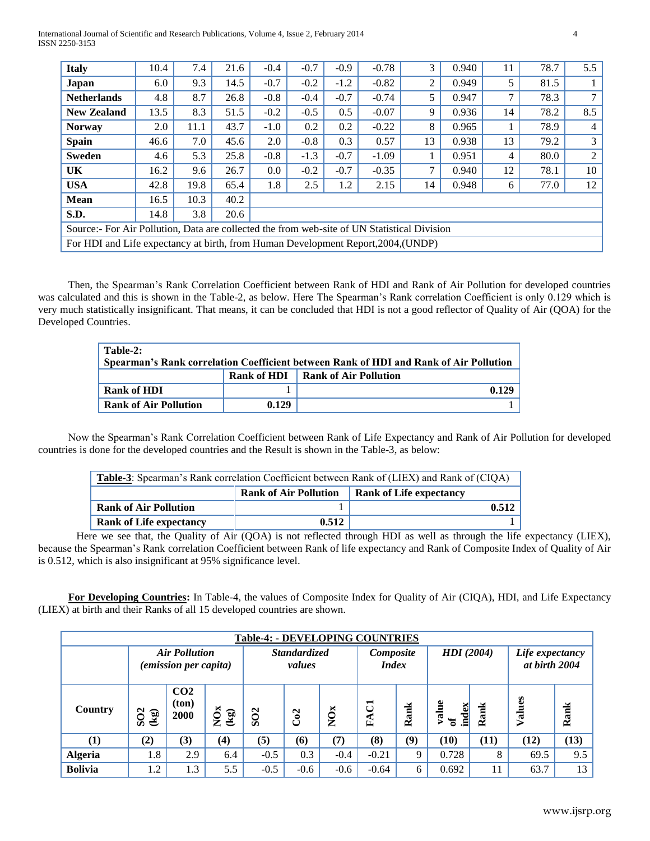International Journal of Scientific and Research Publications, Volume 4, Issue 2, February 2014 4 ISSN 2250-3153

| <b>Italy</b>                                                                                | 10.4 | 7.4  | 21.6 | $-0.4$  | $-0.7$ | $-0.9$ | $-0.78$ | 3  | 0.940 | 11 | 78.7 | 5.5           |
|---------------------------------------------------------------------------------------------|------|------|------|---------|--------|--------|---------|----|-------|----|------|---------------|
| Japan                                                                                       | 6.0  | 9.3  | 14.5 | $-0.7$  | $-0.2$ | $-1.2$ | $-0.82$ | 2  | 0.949 | 5. | 81.5 |               |
| <b>Netherlands</b>                                                                          | 4.8  | 8.7  | 26.8 | $-0.8$  | $-0.4$ | $-0.7$ | $-0.74$ | 5  | 0.947 | 7  | 78.3 | $\mathcal{I}$ |
| <b>New Zealand</b>                                                                          | 13.5 | 8.3  | 51.5 | $-0.2$  | $-0.5$ | 0.5    | $-0.07$ | 9  | 0.936 | 14 | 78.2 | 8.5           |
| <b>Norway</b>                                                                               | 2.0  | 11.1 | 43.7 | $-1.0$  | 0.2    | 0.2    | $-0.22$ | 8  | 0.965 |    | 78.9 | 4             |
| <b>Spain</b>                                                                                | 46.6 | 7.0  | 45.6 | 2.0     | $-0.8$ | 0.3    | 0.57    | 13 | 0.938 | 13 | 79.2 | 3             |
| <b>Sweden</b>                                                                               | 4.6  | 5.3  | 25.8 | $-0.8$  | $-1.3$ | $-0.7$ | $-1.09$ |    | 0.951 | 4  | 80.0 | 2             |
| UK                                                                                          | 16.2 | 9.6  | 26.7 | $0.0\,$ | $-0.2$ | $-0.7$ | $-0.35$ | 7  | 0.940 | 12 | 78.1 | 10            |
| <b>USA</b>                                                                                  | 42.8 | 19.8 | 65.4 | 1.8     | 2.5    | 1.2    | 2.15    | 14 | 0.948 | 6  | 77.0 | 12            |
| <b>Mean</b>                                                                                 | 16.5 | 10.3 | 40.2 |         |        |        |         |    |       |    |      |               |
| S.D.                                                                                        | 14.8 | 3.8  | 20.6 |         |        |        |         |    |       |    |      |               |
| Source:- For Air Pollution, Data are collected the from web-site of UN Statistical Division |      |      |      |         |        |        |         |    |       |    |      |               |
| For HDI and Life expectancy at birth, from Human Development Report, 2004, (UNDP)           |      |      |      |         |        |        |         |    |       |    |      |               |

Then, the Spearman's Rank Correlation Coefficient between Rank of HDI and Rank of Air Pollution for developed countries was calculated and this is shown in the Table-2, as below. Here The Spearman's Rank correlation Coefficient is only 0.129 which is very much statistically insignificant. That means, it can be concluded that HDI is not a good reflector of Quality of Air (QOA) for the Developed Countries.

| Table-2:<br>Spearman's Rank correlation Coefficient between Rank of HDI and Rank of Air Pollution |             |                       |  |  |  |  |
|---------------------------------------------------------------------------------------------------|-------------|-----------------------|--|--|--|--|
|                                                                                                   | Rank of HDI | Rank of Air Pollution |  |  |  |  |
| Rank of HDI                                                                                       |             | 0.129                 |  |  |  |  |
| <b>Rank of Air Pollution</b>                                                                      | 0.129       |                       |  |  |  |  |

Now the Spearman's Rank Correlation Coefficient between Rank of Life Expectancy and Rank of Air Pollution for developed countries is done for the developed countries and the Result is shown in the Table-3, as below:

| <b>Table-3</b> : Spearman's Rank correlation Coefficient between Rank of (LIEX) and Rank of (CIQA) |                                                                |       |  |  |  |  |
|----------------------------------------------------------------------------------------------------|----------------------------------------------------------------|-------|--|--|--|--|
|                                                                                                    | <b>Rank of Air Pollution</b><br><b>Rank of Life expectancy</b> |       |  |  |  |  |
| <b>Rank of Air Pollution</b>                                                                       |                                                                | 0.512 |  |  |  |  |
| <b>Rank of Life expectancy</b>                                                                     | 0.512                                                          |       |  |  |  |  |

Here we see that, the Quality of Air (QOA) is not reflected through HDI as well as through the life expectancy (LIEX), because the Spearman's Rank correlation Coefficient between Rank of life expectancy and Rank of Composite Index of Quality of Air is 0.512, which is also insignificant at 95% significance level.

**For Developing Countries:** In Table-4, the values of Composite Index for Quality of Air (CIQA), HDI, and Life Expectancy (LIEX) at birth and their Ranks of all 15 developed countries are shown.

| <b>Table-4: - DEVELOPING COUNTRIES</b> |                                                |                                               |                 |                               |        |                           |                                |                   |             |                                  |        |      |
|----------------------------------------|------------------------------------------------|-----------------------------------------------|-----------------|-------------------------------|--------|---------------------------|--------------------------------|-------------------|-------------|----------------------------------|--------|------|
|                                        |                                                | <b>Air Pollution</b><br>(emission per capita) |                 | <b>Standardized</b><br>values |        | Composite<br><i>Index</i> |                                | <b>HDI</b> (2004) |             | Life expectancy<br>at birth 2004 |        |      |
| Country                                | SO <sub>2</sub><br>$\left( \mathbf{kg}\right)$ | CO <sub>2</sub><br>ton)<br>2000               | $NOS$<br>$(kg)$ | SO <sub>2</sub>               | Co2    | NOx                       | ਨ<br>$\mathbf{F}^{\mathbf{A}}$ | Rank              | index<br>ัธ | മ്                               | Values | Rank |
| $\bf{(1)}$                             | (2)                                            | (3)                                           | (4)             | (5)                           | (6)    | (7)                       | (8)                            | (9)               | (10)        | (11)                             | (12)   | (13) |
| <b>Algeria</b>                         | 1.8                                            | 2.9                                           | 6.4             | $-0.5$                        | 0.3    | $-0.4$                    | $-0.21$                        | 9                 | 0.728       | 8                                | 69.5   | 9.5  |
| <b>Bolivia</b>                         | 1.2                                            | 1.3                                           | 5.5             | $-0.5$                        | $-0.6$ | $-0.6$                    | $-0.64$                        | 6                 | 0.692       |                                  | 63.7   | 13   |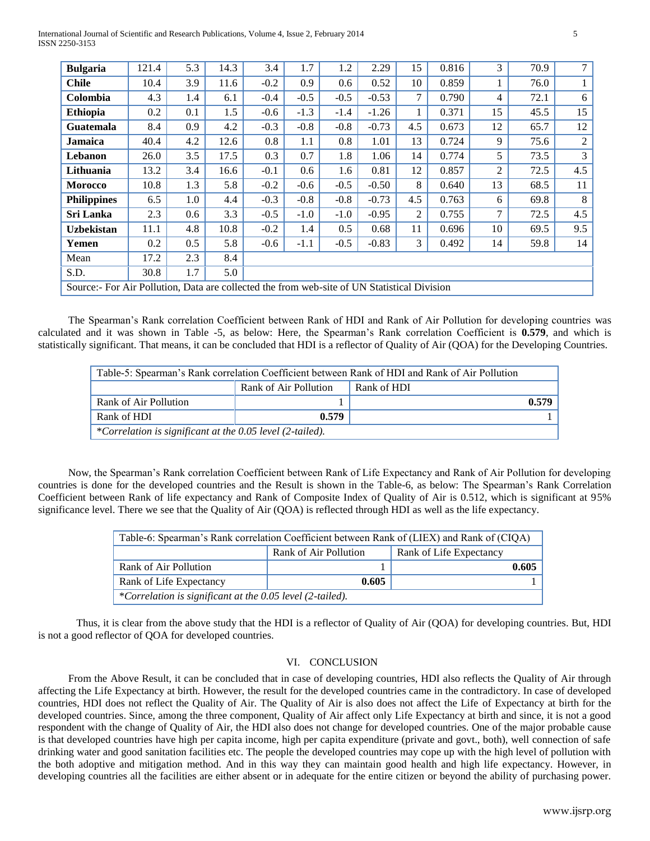| <b>Bulgaria</b>                                                                             | 121.4 | 5.3     | 14.3 | 3.4    | 1.7    | 1.2    | 2.29    | 15             | 0.816 | 3  | 70.9 | 7              |
|---------------------------------------------------------------------------------------------|-------|---------|------|--------|--------|--------|---------|----------------|-------|----|------|----------------|
| <b>Chile</b>                                                                                | 10.4  | 3.9     | 11.6 | $-0.2$ | 0.9    | 0.6    | 0.52    | 10             | 0.859 |    | 76.0 |                |
| Colombia                                                                                    | 4.3   | 1.4     | 6.1  | $-0.4$ | $-0.5$ | $-0.5$ | $-0.53$ | $\tau$         | 0.790 | 4  | 72.1 | 6              |
| <b>Ethiopia</b>                                                                             | 0.2   | 0.1     | 1.5  | $-0.6$ | $-1.3$ | $-1.4$ | $-1.26$ | $\mathbf{1}$   | 0.371 | 15 | 45.5 | 15             |
| Guatemala                                                                                   | 8.4   | 0.9     | 4.2  | $-0.3$ | $-0.8$ | $-0.8$ | $-0.73$ | 4.5            | 0.673 | 12 | 65.7 | 12             |
| <b>Jamaica</b>                                                                              | 40.4  | 4.2     | 12.6 | 0.8    | 1.1    | 0.8    | 1.01    | 13             | 0.724 | 9  | 75.6 | $\overline{2}$ |
| Lebanon                                                                                     | 26.0  | 3.5     | 17.5 | 0.3    | 0.7    | 1.8    | 1.06    | 14             | 0.774 | 5  | 73.5 | 3              |
| Lithuania                                                                                   | 13.2  | 3.4     | 16.6 | $-0.1$ | 0.6    | 1.6    | 0.81    | 12             | 0.857 | 2  | 72.5 | 4.5            |
| <b>Morocco</b>                                                                              | 10.8  | 1.3     | 5.8  | $-0.2$ | $-0.6$ | $-0.5$ | $-0.50$ | 8              | 0.640 | 13 | 68.5 | 11             |
| <b>Philippines</b>                                                                          | 6.5   | $1.0\,$ | 4.4  | $-0.3$ | $-0.8$ | $-0.8$ | $-0.73$ | 4.5            | 0.763 | 6  | 69.8 | 8              |
| Sri Lanka                                                                                   | 2.3   | 0.6     | 3.3  | $-0.5$ | $-1.0$ | $-1.0$ | $-0.95$ | $\overline{2}$ | 0.755 | 7  | 72.5 | 4.5            |
| <b>Uzbekistan</b>                                                                           | 11.1  | 4.8     | 10.8 | $-0.2$ | 1.4    | 0.5    | 0.68    | 11             | 0.696 | 10 | 69.5 | 9.5            |
| Yemen                                                                                       | 0.2   | 0.5     | 5.8  | $-0.6$ | $-1.1$ | $-0.5$ | $-0.83$ | 3              | 0.492 | 14 | 59.8 | 14             |
| Mean                                                                                        | 17.2  | 2.3     | 8.4  |        |        |        |         |                |       |    |      |                |
| S.D.                                                                                        | 30.8  | 1.7     | 5.0  |        |        |        |         |                |       |    |      |                |
| Source:- For Air Pollution, Data are collected the from web-site of UN Statistical Division |       |         |      |        |        |        |         |                |       |    |      |                |

The Spearman's Rank correlation Coefficient between Rank of HDI and Rank of Air Pollution for developing countries was calculated and it was shown in Table -5, as below: Here, the Spearman's Rank correlation Coefficient is **0.579**, and which is statistically significant. That means, it can be concluded that HDI is a reflector of Quality of Air (QOA) for the Developing Countries.

| Table-5: Spearman's Rank correlation Coefficient between Rank of HDI and Rank of Air Pollution |                                      |  |       |  |  |  |
|------------------------------------------------------------------------------------------------|--------------------------------------|--|-------|--|--|--|
|                                                                                                | Rank of Air Pollution<br>Rank of HDI |  |       |  |  |  |
| Rank of Air Pollution                                                                          |                                      |  | 0.579 |  |  |  |
| Rank of HDI<br>0.579                                                                           |                                      |  |       |  |  |  |
| *Correlation is significant at the 0.05 level (2-tailed).                                      |                                      |  |       |  |  |  |

Now, the Spearman's Rank correlation Coefficient between Rank of Life Expectancy and Rank of Air Pollution for developing countries is done for the developed countries and the Result is shown in the Table-6, as below: The Spearman's Rank Correlation Coefficient between Rank of life expectancy and Rank of Composite Index of Quality of Air is 0.512, which is significant at 95% significance level. There we see that the Quality of Air (QOA) is reflected through HDI as well as the life expectancy.

| Table-6: Spearman's Rank correlation Coefficient between Rank of (LIEX) and Rank of (CIQA) |                       |                         |  |  |  |  |  |
|--------------------------------------------------------------------------------------------|-----------------------|-------------------------|--|--|--|--|--|
|                                                                                            | Rank of Air Pollution | Rank of Life Expectancy |  |  |  |  |  |
| Rank of Air Pollution                                                                      |                       | 0.605                   |  |  |  |  |  |
| Rank of Life Expectancy<br>0.605                                                           |                       |                         |  |  |  |  |  |
| *Correlation is significant at the 0.05 level (2-tailed).                                  |                       |                         |  |  |  |  |  |

Thus, it is clear from the above study that the HDI is a reflector of Quality of Air (QOA) for developing countries. But, HDI is not a good reflector of QOA for developed countries.

# VI. CONCLUSION

From the Above Result, it can be concluded that in case of developing countries, HDI also reflects the Quality of Air through affecting the Life Expectancy at birth. However, the result for the developed countries came in the contradictory. In case of developed countries, HDI does not reflect the Quality of Air. The Quality of Air is also does not affect the Life of Expectancy at birth for the developed countries. Since, among the three component, Quality of Air affect only Life Expectancy at birth and since, it is not a good respondent with the change of Quality of Air, the HDI also does not change for developed countries. One of the major probable cause is that developed countries have high per capita income, high per capita expenditure (private and govt., both), well connection of safe drinking water and good sanitation facilities etc. The people the developed countries may cope up with the high level of pollution with the both adoptive and mitigation method. And in this way they can maintain good health and high life expectancy. However, in developing countries all the facilities are either absent or in adequate for the entire citizen or beyond the ability of purchasing power.